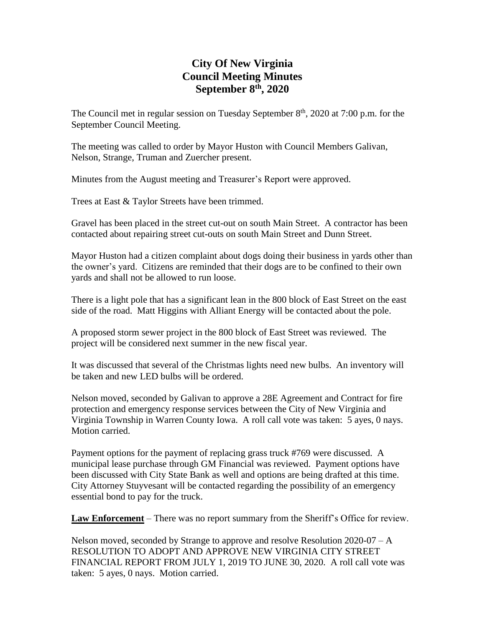# **City Of New Virginia Council Meeting Minutes September 8 th , 2020**

The Council met in regular session on Tuesday September  $8<sup>th</sup>$ , 2020 at 7:00 p.m. for the September Council Meeting.

The meeting was called to order by Mayor Huston with Council Members Galivan, Nelson, Strange, Truman and Zuercher present.

Minutes from the August meeting and Treasurer's Report were approved.

Trees at East & Taylor Streets have been trimmed.

Gravel has been placed in the street cut-out on south Main Street. A contractor has been contacted about repairing street cut-outs on south Main Street and Dunn Street.

Mayor Huston had a citizen complaint about dogs doing their business in yards other than the owner's yard. Citizens are reminded that their dogs are to be confined to their own yards and shall not be allowed to run loose.

There is a light pole that has a significant lean in the 800 block of East Street on the east side of the road. Matt Higgins with Alliant Energy will be contacted about the pole.

A proposed storm sewer project in the 800 block of East Street was reviewed. The project will be considered next summer in the new fiscal year.

It was discussed that several of the Christmas lights need new bulbs. An inventory will be taken and new LED bulbs will be ordered.

Nelson moved, seconded by Galivan to approve a 28E Agreement and Contract for fire protection and emergency response services between the City of New Virginia and Virginia Township in Warren County Iowa. A roll call vote was taken: 5 ayes, 0 nays. Motion carried.

Payment options for the payment of replacing grass truck #769 were discussed. A municipal lease purchase through GM Financial was reviewed. Payment options have been discussed with City State Bank as well and options are being drafted at this time. City Attorney Stuyvesant will be contacted regarding the possibility of an emergency essential bond to pay for the truck.

**Law Enforcement** – There was no report summary from the Sheriff's Office for review.

Nelson moved, seconded by Strange to approve and resolve Resolution 2020-07 – A RESOLUTION TO ADOPT AND APPROVE NEW VIRGINIA CITY STREET FINANCIAL REPORT FROM JULY 1, 2019 TO JUNE 30, 2020. A roll call vote was taken: 5 ayes, 0 nays. Motion carried.